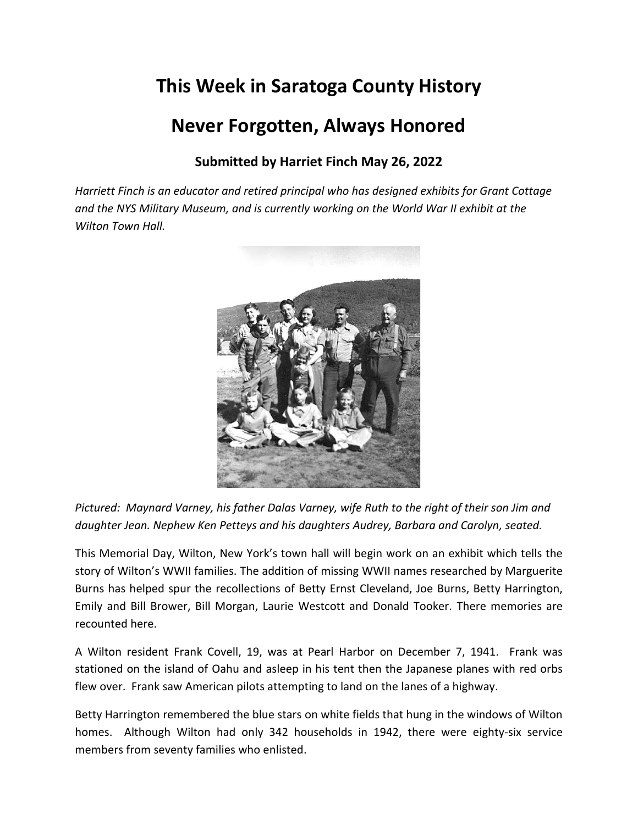## **This Week in Saratoga County History**

## **Never Forgotten, Always Honored**

## **Submitted by Harriet Finch May 26, 2022**

*Harriett Finch is an educator and retired principal who has designed exhibits for Grant Cottage and the NYS Military Museum, and is currently working on the World War II exhibit at the Wilton Town Hall.*



*Pictured: Maynard Varney, his father Dalas Varney, wife Ruth to the right of their son Jim and daughter Jean. Nephew Ken Petteys and his daughters Audrey, Barbara and Carolyn, seated.*

This Memorial Day, Wilton, New York's town hall will begin work on an exhibit which tells the story of Wilton's WWII families. The addition of missing WWII names researched by Marguerite Burns has helped spur the recollections of Betty Ernst Cleveland, Joe Burns, Betty Harrington, Emily and Bill Brower, Bill Morgan, Laurie Westcott and Donald Tooker. There memories are recounted here.

A Wilton resident Frank Covell, 19, was at Pearl Harbor on December 7, 1941. Frank was stationed on the island of Oahu and asleep in his tent then the Japanese planes with red orbs flew over. Frank saw American pilots attempting to land on the lanes of a highway.

Betty Harrington remembered the blue stars on white fields that hung in the windows of Wilton homes. Although Wilton had only 342 households in 1942, there were eighty-six service members from seventy families who enlisted.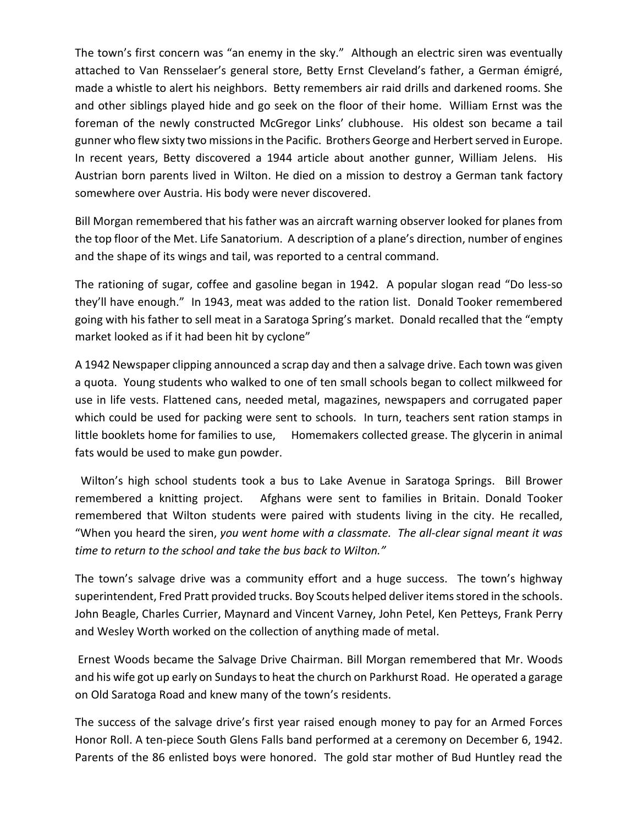The town's first concern was "an enemy in the sky." Although an electric siren was eventually attached to Van Rensselaer's general store, Betty Ernst Cleveland's father, a German émigré, made a whistle to alert his neighbors. Betty remembers air raid drills and darkened rooms. She and other siblings played hide and go seek on the floor of their home. William Ernst was the foreman of the newly constructed McGregor Links' clubhouse. His oldest son became a tail gunner who flew sixty two missions in the Pacific. Brothers George and Herbert served in Europe. In recent years, Betty discovered a 1944 article about another gunner, William Jelens. His Austrian born parents lived in Wilton. He died on a mission to destroy a German tank factory somewhere over Austria. His body were never discovered.

Bill Morgan remembered that his father was an aircraft warning observer looked for planes from the top floor of the Met. Life Sanatorium. A description of a plane's direction, number of engines and the shape of its wings and tail, was reported to a central command.

The rationing of sugar, coffee and gasoline began in 1942. A popular slogan read "Do less-so they'll have enough." In 1943, meat was added to the ration list. Donald Tooker remembered going with his father to sell meat in a Saratoga Spring's market. Donald recalled that the "empty market looked as if it had been hit by cyclone"

A 1942 Newspaper clipping announced a scrap day and then a salvage drive. Each town was given a quota. Young students who walked to one of ten small schools began to collect milkweed for use in life vests. Flattened cans, needed metal, magazines, newspapers and corrugated paper which could be used for packing were sent to schools. In turn, teachers sent ration stamps in little booklets home for families to use, Homemakers collected grease. The glycerin in animal fats would be used to make gun powder.

Wilton's high school students took a bus to Lake Avenue in Saratoga Springs. Bill Brower remembered a knitting project. Afghans were sent to families in Britain. Donald Tooker remembered that Wilton students were paired with students living in the city. He recalled, "When you heard the siren, *you went home with a classmate. The all-clear signal meant it was time to return to the school and take the bus back to Wilton."*

The town's salvage drive was a community effort and a huge success. The town's highway superintendent, Fred Pratt provided trucks. Boy Scouts helped deliver items stored in the schools. John Beagle, Charles Currier, Maynard and Vincent Varney, John Petel, Ken Petteys, Frank Perry and Wesley Worth worked on the collection of anything made of metal.

Ernest Woods became the Salvage Drive Chairman. Bill Morgan remembered that Mr. Woods and his wife got up early on Sundays to heat the church on Parkhurst Road. He operated a garage on Old Saratoga Road and knew many of the town's residents.

The success of the salvage drive's first year raised enough money to pay for an Armed Forces Honor Roll. A ten-piece South Glens Falls band performed at a ceremony on December 6, 1942. Parents of the 86 enlisted boys were honored. The gold star mother of Bud Huntley read the